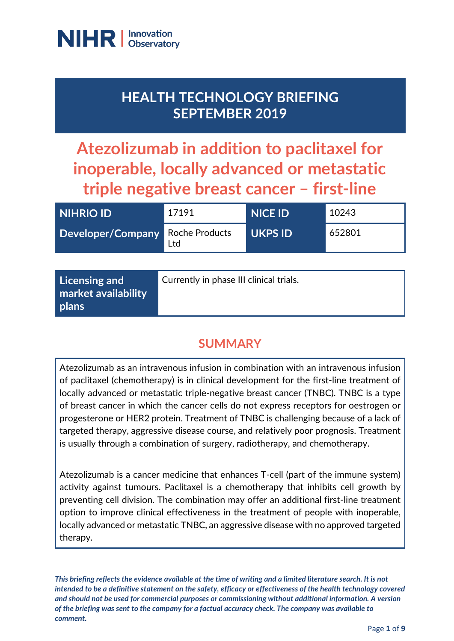

# **HEALTH TECHNOLOGY BRIEFING SEPTEMBER 2019**

**Atezolizumab in addition to paclitaxel for inoperable, locally advanced or metastatic triple negative breast cancer – first-line**

| NIHRIO ID                        | 17191 | <b>NICE ID</b> | 10243  |
|----------------------------------|-------|----------------|--------|
| Developer/Company Roche Products | Ltd   | <b>UKPS ID</b> | 652801 |

### **SUMMARY**

Atezolizumab as an intravenous infusion in combination with an intravenous infusion of paclitaxel (chemotherapy) is in clinical development for the first-line treatment of locally advanced or metastatic triple-negative breast cancer (TNBC). TNBC is a type of breast cancer in which the cancer cells do not express receptors for oestrogen or progesterone or HER2 protein. Treatment of TNBC is challenging because of a lack of targeted therapy, aggressive disease course, and relatively poor prognosis. Treatment is usually through a combination of surgery, radiotherapy, and chemotherapy.

Atezolizumab is a cancer medicine that enhances T-cell (part of the immune system) activity against tumours. Paclitaxel is a chemotherapy that inhibits cell growth by preventing cell division. The combination may offer an additional first-line treatment option to improve clinical effectiveness in the treatment of people with inoperable, locally advanced or metastatic TNBC, an aggressive disease with no approved targeted therapy.

*This briefing reflects the evidence available at the time of writing and a limited literature search. It is not intended to be a definitive statement on the safety, efficacy or effectiveness of the health technology covered and should not be used for commercial purposes or commissioning without additional information. A version of the briefing was sent to the company for a factual accuracy check. The company was available to comment.*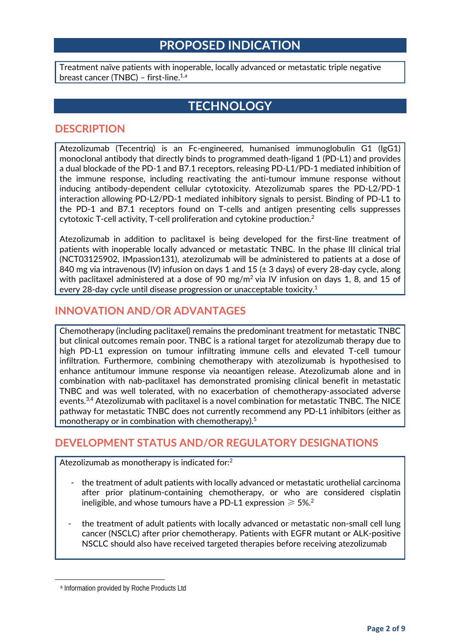### **PROPOSED INDICATION**

Treatment naïve patients with inoperable, locally advanced or metastatic triple negative bre[a](#page-1-0)st cancer (TNBC) - first-line.<sup>1,a</sup>

### **TECHNOLOGY**

#### **DESCRIPTION**

Atezolizumab (Tecentriq) is an Fc-engineered, humanised immunoglobulin G1 (IgG1) monoclonal antibody that directly binds to programmed death-ligand 1 (PD-L1) and provides a dual blockade of the PD-1 and B7.1 receptors, releasing PD-L1/PD-1 mediated inhibition of the immune response, including reactivating the anti-tumour immune response without inducing antibody-dependent cellular cytotoxicity. Atezolizumab spares the PD-L2/PD-1 interaction allowing PD-L2/PD-1 mediated inhibitory signals to persist. Binding of PD-L1 to the PD-1 and B7.1 receptors found on T-cells and antigen presenting cells suppresses cytotoxic T-cell activity, T-cell proliferation and cytokine production.2

Atezolizumab in addition to paclitaxel is being developed for the first-line treatment of patients with inoperable locally advanced or metastatic TNBC. In the phase III clinical trial (NCT03125902, IMpassion131), atezolizumab will be administered to patients at a dose of 840 mg via intravenous (IV) infusion on days 1 and 15 ( $\pm$  3 days) of every 28-day cycle, along with paclitaxel administered at a dose of 90 mg/m<sup>2</sup> via IV infusion on days 1, 8, and 15 of every 28-day cycle until disease progression or unacceptable toxicity. 1

#### **INNOVATION AND/OR ADVANTAGES**

Chemotherapy (including paclitaxel) remains the predominant treatment for metastatic TNBC but clinical outcomes remain poor. TNBC is a rational target for atezolizumab therapy due to high PD-L1 expression on tumour infiltrating immune cells and elevated T-cell tumour infiltration. Furthermore, combining chemotherapy with atezolizumab is hypothesised to enhance antitumour immune response via neoantigen release. Atezolizumab alone and in combination with nab-paclitaxel has demonstrated promising clinical benefit in metastatic TNBC and was well tolerated, with no exacerbation of chemotherapy-associated adverse events.<sup>3,4</sup> Atezolizumab with paclitaxel is a novel combination for metastatic TNBC. The NICE pathway for metastatic TNBC does not currently recommend any PD-L1 inhibitors (either as monotherapy or in combination with chemotherapy).<sup>5</sup>

#### **DEVELOPMENT STATUS AND/OR REGULATORY DESIGNATIONS**

Atezolizumab as monotherapy is indicated for: $^2$ 

- the treatment of adult patients with locally advanced or metastatic urothelial carcinoma after prior platinum-containing chemotherapy, or who are considered cisplatin ineligible, and whose tumours have a PD-L1 expression  $\geq 5\%$ .<sup>2</sup>
- the treatment of adult patients with locally advanced or metastatic non-small cell lung cancer (NSCLC) after prior chemotherapy. Patients with EGFR mutant or ALK-positive NSCLC should also have received targeted therapies before receiving atezolizumab

<span id="page-1-0"></span> $\overline{\phantom{a}}$ 

<sup>a</sup> Information provided by Roche Products Ltd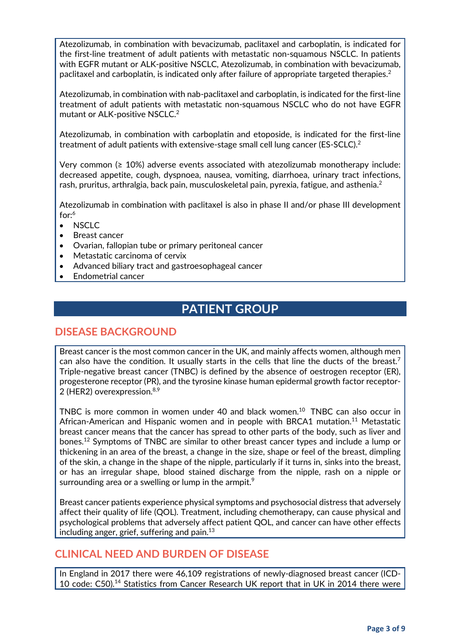Atezolizumab, in combination with bevacizumab, paclitaxel and carboplatin, is indicated for the first-line treatment of adult patients with metastatic non-squamous NSCLC. In patients with EGFR mutant or ALK-positive NSCLC, Atezolizumab, in combination with bevacizumab, paclitaxel and carboplatin, is indicated only after failure of appropriate targeted therapies. $^2$ 

Atezolizumab, in combination with nab-paclitaxel and carboplatin, is indicated for the first-line treatment of adult patients with metastatic non-squamous NSCLC who do not have EGFR mutant or ALK-positive NSCLC.<sup>2</sup>

Atezolizumab, in combination with carboplatin and etoposide, is indicated for the first-line treatment of adult patients with extensive-stage small cell lung cancer (ES-SCLC).2

Very common  $(≥ 10%)$  adverse events associated with atezolizumab monotherapy include: decreased appetite, cough, dyspnoea, nausea, vomiting, diarrhoea, urinary tract infections, rash, pruritus, arthralgia, back pain, musculoskeletal pain, pyrexia, fatigue, and asthenia.<sup>2</sup>

Atezolizumab in combination with paclitaxel is also in phase II and/or phase III development for: 6

- NSCLC
- Breast cancer
- Ovarian, fallopian tube or primary peritoneal cancer
- Metastatic carcinoma of cervix
- Advanced biliary tract and gastroesophageal cancer
- Endometrial cancer

### **PATIENT GROUP**

#### **DISEASE BACKGROUND**

Breast cancer is the most common cancer in the UK, and mainly affects women, although men can also have the condition. It usually starts in the cells that line the ducts of the breast.<sup>7</sup> Triple-negative breast cancer (TNBC) is defined by the absence of oestrogen receptor (ER), progesterone receptor (PR), and the tyrosine kinase human epidermal growth factor receptor-2 (HER2) overexpression.<sup>8,9</sup>

TNBC is more common in women under 40 and black women.<sup>10</sup> TNBC can also occur in African-American and Hispanic women and in people with BRCA1 mutation.11 Metastatic breast cancer means that the cancer has spread to other parts of the body, such as liver and bones.12 Symptoms of TNBC are similar to other breast cancer types and include a lump or thickening in an area of the breast, a change in the size, shape or feel of the breast, dimpling of the skin, a change in the shape of the nipple, particularly if it turns in, sinks into the breast, or has an irregular shape, blood stained discharge from the nipple, rash on a nipple or surrounding area or a swelling or lump in the armpit. $^{\circ}$ 

Breast cancer patients experience physical symptoms and psychosocial distress that adversely affect their quality of life (QOL). Treatment, including chemotherapy, can cause physical and psychological problems that adversely affect patient QOL, and cancer can have other effects including anger, grief, suffering and pain. $13$ 

#### **CLINICAL NEED AND BURDEN OF DISEASE**

In England in 2017 there were 46,109 registrations of newly-diagnosed breast cancer (ICD-10 code: C50).<sup>14</sup> Statistics from Cancer Research UK report that in UK in 2014 there were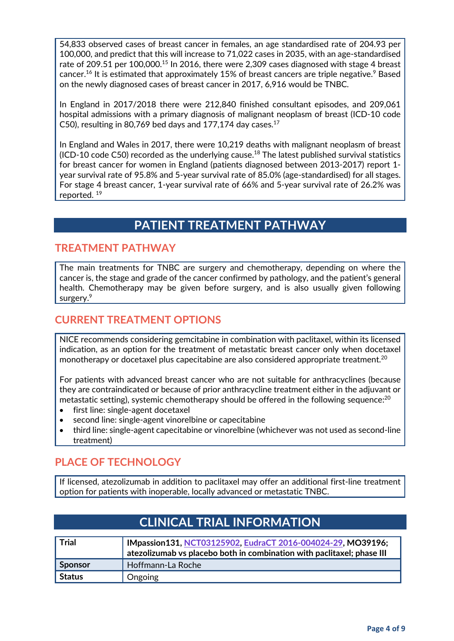54,833 observed cases of breast cancer in females, an age standardised rate of 204.93 per 100,000, and predict that this will increase to 71,022 cases in 2035, with an age-standardised rate of 209.51 per 100,000.<sup>15</sup> In 2016, there were 2,309 cases diagnosed with stage 4 breast cancer. $^{16}$  It is estimated that approximately 15% of breast cancers are triple negative. $^9$  Based on the newly diagnosed cases of breast cancer in 2017, 6,916 would be TNBC.

In England in 2017/2018 there were 212,840 finished consultant episodes, and 209,061 hospital admissions with a primary diagnosis of malignant neoplasm of breast (ICD-10 code C50), resulting in 80,769 bed days and 177,174 day cases. $^{17}$ 

In England and Wales in 2017, there were 10,219 deaths with malignant neoplasm of breast  $(ICD-10 \text{ code } C50)$  recorded as the underlying cause.<sup>18</sup> The latest published survival statistics for breast cancer for women in England (patients diagnosed between 2013-2017) report 1 year survival rate of 95.8% and 5-year survival rate of 85.0% (age-standardised) for all stages. For stage 4 breast cancer, 1-year survival rate of 66% and 5-year survival rate of 26.2% was reported. 19

## **PATIENT TREATMENT PATHWAY**

#### **TREATMENT PATHWAY**

The main treatments for TNBC are surgery and chemotherapy, depending on where the cancer is, the stage and grade of the cancer confirmed by pathology, and the patient's general health. Chemotherapy may be given before surgery, and is also usually given following surgery.<sup>9</sup>

#### **CURRENT TREATMENT OPTIONS**

NICE recommends considering gemcitabine in combination with paclitaxel, within its licensed indication, as an option for the treatment of metastatic breast cancer only when docetaxel monotherapy or docetaxel plus capecitabine are also considered appropriate treatment. $^{20}$ 

For patients with advanced breast cancer who are not suitable for anthracyclines (because they are contraindicated or because of prior anthracycline treatment either in the adjuvant or metastatic setting), systemic chemotherapy should be offered in the following sequence:<sup>20</sup>

- first line: single-agent docetaxel
- second line: single-agent vinorelbine or capecitabine
- third line: single-agent capecitabine or vinorelbine (whichever was not used as second-line treatment)

#### **PLACE OF TECHNOLOGY**

If licensed, atezolizumab in addition to paclitaxel may offer an additional first-line treatment option for patients with inoperable, locally advanced or metastatic TNBC.

| <b>Trial</b>   | IMpassion131, NCT03125902, EudraCT 2016-004024-29, MO39196:<br>atezolizumab vs placebo both in combination with paclitaxel; phase III |
|----------------|---------------------------------------------------------------------------------------------------------------------------------------|
| <b>Sponsor</b> | Hoffmann-La Roche                                                                                                                     |
| <b>Status</b>  | Ongoing                                                                                                                               |

### **CLINICAL TRIAL INFORMATION**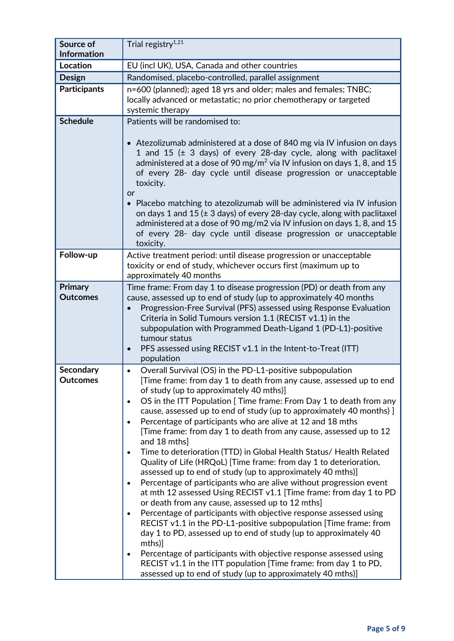| Source of<br><b>Information</b>     | Trial registry <sup>1,21</sup>                                                                                                                                                                                                                                                                                                                                                                                                                                                                                                                                                                                                                                                                                                                                                                                                                                                                                                                                                                                                                                                                                                                                                                                                                                                                                                                                                                        |
|-------------------------------------|-------------------------------------------------------------------------------------------------------------------------------------------------------------------------------------------------------------------------------------------------------------------------------------------------------------------------------------------------------------------------------------------------------------------------------------------------------------------------------------------------------------------------------------------------------------------------------------------------------------------------------------------------------------------------------------------------------------------------------------------------------------------------------------------------------------------------------------------------------------------------------------------------------------------------------------------------------------------------------------------------------------------------------------------------------------------------------------------------------------------------------------------------------------------------------------------------------------------------------------------------------------------------------------------------------------------------------------------------------------------------------------------------------|
| <b>Location</b>                     | EU (incl UK), USA, Canada and other countries                                                                                                                                                                                                                                                                                                                                                                                                                                                                                                                                                                                                                                                                                                                                                                                                                                                                                                                                                                                                                                                                                                                                                                                                                                                                                                                                                         |
| <b>Design</b>                       | Randomised, placebo-controlled, parallel assignment                                                                                                                                                                                                                                                                                                                                                                                                                                                                                                                                                                                                                                                                                                                                                                                                                                                                                                                                                                                                                                                                                                                                                                                                                                                                                                                                                   |
| <b>Participants</b>                 | n=600 (planned); aged 18 yrs and older; males and females; TNBC;<br>locally advanced or metastatic; no prior chemotherapy or targeted<br>systemic therapy                                                                                                                                                                                                                                                                                                                                                                                                                                                                                                                                                                                                                                                                                                                                                                                                                                                                                                                                                                                                                                                                                                                                                                                                                                             |
| <b>Schedule</b>                     | Patients will be randomised to:<br>• Atezolizumab administered at a dose of 840 mg via IV infusion on days<br>1 and 15 (± 3 days) of every 28-day cycle, along with paclitaxel<br>administered at a dose of 90 mg/m <sup>2</sup> via IV infusion on days 1, 8, and 15<br>of every 28- day cycle until disease progression or unacceptable<br>toxicity.<br>or<br>• Placebo matching to atezolizumab will be administered via IV infusion<br>on days 1 and 15 ( $\pm$ 3 days) of every 28-day cycle, along with paclitaxel<br>administered at a dose of 90 mg/m2 via IV infusion on days 1, 8, and 15<br>of every 28- day cycle until disease progression or unacceptable<br>toxicity.                                                                                                                                                                                                                                                                                                                                                                                                                                                                                                                                                                                                                                                                                                                  |
| Follow-up                           | Active treatment period: until disease progression or unacceptable<br>toxicity or end of study, whichever occurs first (maximum up to<br>approximately 40 months                                                                                                                                                                                                                                                                                                                                                                                                                                                                                                                                                                                                                                                                                                                                                                                                                                                                                                                                                                                                                                                                                                                                                                                                                                      |
| Primary<br><b>Outcomes</b>          | Time frame: From day 1 to disease progression (PD) or death from any<br>cause, assessed up to end of study (up to approximately 40 months<br>Progression-Free Survival (PFS) assessed using Response Evaluation<br>$\bullet$<br>Criteria in Solid Tumours version 1.1 (RECIST v1.1) in the<br>subpopulation with Programmed Death-Ligand 1 (PD-L1)-positive<br>tumour status<br>PFS assessed using RECIST v1.1 in the Intent-to-Treat (ITT)<br>$\bullet$<br>population                                                                                                                                                                                                                                                                                                                                                                                                                                                                                                                                                                                                                                                                                                                                                                                                                                                                                                                                |
| <b>Secondary</b><br><b>Outcomes</b> | Overall Survival (OS) in the PD-L1-positive subpopulation<br>[Time frame: from day 1 to death from any cause, assessed up to end<br>of study (up to approximately 40 mths)]<br>OS in the ITT Population [ Time frame: From Day 1 to death from any<br>$\bullet$<br>cause, assessed up to end of study (up to approximately 40 months) ]<br>Percentage of participants who are alive at 12 and 18 mths<br>$\bullet$<br>[Time frame: from day 1 to death from any cause, assessed up to 12<br>and 18 mths]<br>Time to deterioration (TTD) in Global Health Status/ Health Related<br>$\bullet$<br>Quality of Life (HRQoL) [Time frame: from day 1 to deterioration,<br>assessed up to end of study (up to approximately 40 mths)]<br>Percentage of participants who are alive without progression event<br>$\bullet$<br>at mth 12 assessed Using RECIST v1.1 [Time frame: from day 1 to PD<br>or death from any cause, assessed up to 12 mths]<br>Percentage of participants with objective response assessed using<br>$\bullet$<br>RECIST v1.1 in the PD-L1-positive subpopulation [Time frame: from<br>day 1 to PD, assessed up to end of study (up to approximately 40<br>mths)]<br>Percentage of participants with objective response assessed using<br>$\bullet$<br>RECIST v1.1 in the ITT population [Time frame: from day 1 to PD,<br>assessed up to end of study (up to approximately 40 mths)] |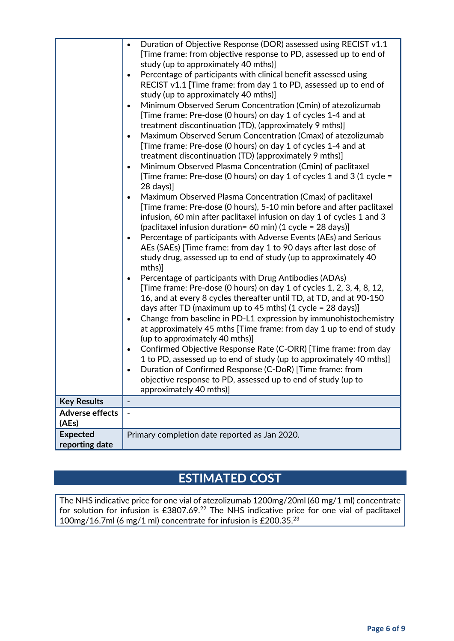|                                   | Duration of Objective Response (DOR) assessed using RECIST v1.1<br>$\bullet$<br>[Time frame: from objective response to PD, assessed up to end of<br>study (up to approximately 40 mths)]<br>Percentage of participants with clinical benefit assessed using<br>$\bullet$                                                                                                                                                                                                                                                                                                                                                                                                                                                                                                                                                                                                                                                                                                                                                             |
|-----------------------------------|---------------------------------------------------------------------------------------------------------------------------------------------------------------------------------------------------------------------------------------------------------------------------------------------------------------------------------------------------------------------------------------------------------------------------------------------------------------------------------------------------------------------------------------------------------------------------------------------------------------------------------------------------------------------------------------------------------------------------------------------------------------------------------------------------------------------------------------------------------------------------------------------------------------------------------------------------------------------------------------------------------------------------------------|
|                                   | RECIST v1.1 [Time frame: from day 1 to PD, assessed up to end of<br>study (up to approximately 40 mths)]                                                                                                                                                                                                                                                                                                                                                                                                                                                                                                                                                                                                                                                                                                                                                                                                                                                                                                                              |
|                                   | Minimum Observed Serum Concentration (Cmin) of atezolizumab<br>$\bullet$<br>[Time frame: Pre-dose (0 hours) on day 1 of cycles 1-4 and at<br>treatment discontinuation (TD), (approximately 9 mths)]<br>Maximum Observed Serum Concentration (Cmax) of atezolizumab<br>$\bullet$<br>[Time frame: Pre-dose (0 hours) on day 1 of cycles 1-4 and at<br>treatment discontinuation (TD) (approximately 9 mths)]<br>Minimum Observed Plasma Concentration (Cmin) of paclitaxel<br>$\bullet$<br>[Time frame: Pre-dose (0 hours) on day 1 of cycles 1 and 3 (1 cycle =<br>$28 \text{ days}$<br>Maximum Observed Plasma Concentration (Cmax) of paclitaxel<br>$\bullet$<br>[Time frame: Pre-dose (0 hours), 5-10 min before and after paclitaxel<br>infusion, 60 min after paclitaxel infusion on day 1 of cycles 1 and 3<br>(paclitaxel infusion duration= 60 min) (1 cycle = 28 days)]<br>Percentage of participants with Adverse Events (AEs) and Serious<br>$\bullet$<br>AEs (SAEs) [Time frame: from day 1 to 90 days after last dose of |
|                                   | study drug, assessed up to end of study (up to approximately 40<br>mths)]                                                                                                                                                                                                                                                                                                                                                                                                                                                                                                                                                                                                                                                                                                                                                                                                                                                                                                                                                             |
|                                   | Percentage of participants with Drug Antibodies (ADAs)<br>$\bullet$<br>[Time frame: Pre-dose (0 hours) on day 1 of cycles 1, 2, 3, 4, 8, 12,<br>16, and at every 8 cycles thereafter until TD, at TD, and at 90-150<br>days after TD (maximum up to 45 mths) (1 cycle = 28 days)]<br>Change from baseline in PD-L1 expression by immunohistochemistry<br>$\bullet$<br>at approximately 45 mths [Time frame: from day 1 up to end of study<br>(up to approximately 40 mths)]                                                                                                                                                                                                                                                                                                                                                                                                                                                                                                                                                           |
|                                   | Confirmed Objective Response Rate (C-ORR) [Time frame: from day<br>$\bullet$<br>1 to PD, assessed up to end of study (up to approximately 40 mths)]<br>Duration of Confirmed Response (C-DoR) [Time frame: from<br>objective response to PD, assessed up to end of study (up to<br>approximately 40 mths)]                                                                                                                                                                                                                                                                                                                                                                                                                                                                                                                                                                                                                                                                                                                            |
| <b>Key Results</b>                | $\overline{\phantom{a}}$                                                                                                                                                                                                                                                                                                                                                                                                                                                                                                                                                                                                                                                                                                                                                                                                                                                                                                                                                                                                              |
| <b>Adverse effects</b><br>(AEs)   | $\blacksquare$                                                                                                                                                                                                                                                                                                                                                                                                                                                                                                                                                                                                                                                                                                                                                                                                                                                                                                                                                                                                                        |
| <b>Expected</b><br>reporting date | Primary completion date reported as Jan 2020.                                                                                                                                                                                                                                                                                                                                                                                                                                                                                                                                                                                                                                                                                                                                                                                                                                                                                                                                                                                         |

# **ESTIMATED COST**

The NHS indicative price for one vial of atezolizumab 1200mg/20ml (60 mg/1 ml) concentrate for solution for infusion is £3807.69.22 The NHS indicative price for one vial of paclitaxel 100mg/16.7ml (6 mg/1 ml) concentrate for infusion is £200.35. 23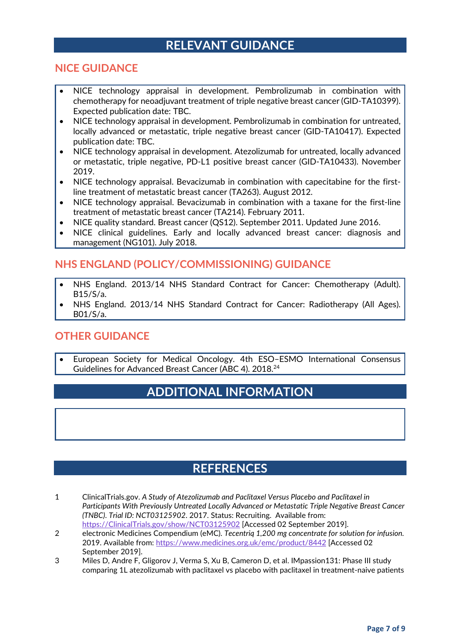### **RELEVANT GUIDANCE**

#### **NICE GUIDANCE**

- NICE technology appraisal in development. Pembrolizumab in combination with chemotherapy for neoadjuvant treatment of triple negative breast cancer (GID-TA10399). Expected publication date: TBC.
- NICE technology appraisal in development. Pembrolizumab in combination for untreated, locally advanced or metastatic, triple negative breast cancer (GID-TA10417). Expected publication date: TBC.
- NICE technology appraisal in development. Atezolizumab for untreated, locally advanced or metastatic, triple negative, PD-L1 positive breast cancer (GID-TA10433). November 2019.
- NICE technology appraisal. Bevacizumab in combination with capecitabine for the firstline treatment of metastatic breast cancer (TA263). August 2012.
- NICE technology appraisal. Bevacizumab in combination with a taxane for the first-line treatment of metastatic breast cancer (TA214). February 2011.
- NICE quality standard. Breast cancer (QS12). September 2011. Updated June 2016.
- NICE clinical guidelines. Early and locally advanced breast cancer: diagnosis and management (NG101). July 2018.

#### **NHS ENGLAND (POLICY/COMMISSIONING) GUIDANCE**

- NHS England. 2013/14 NHS Standard Contract for Cancer: Chemotherapy (Adult). B15/S/a.
- NHS England. 2013/14 NHS Standard Contract for Cancer: Radiotherapy (All Ages). B01/S/a.

#### **OTHER GUIDANCE**

• European Society for Medical Oncology. 4th ESO–ESMO International Consensus Guidelines for Advanced Breast Cancer (ABC 4). 2018.<sup>24</sup>

### **ADDITIONAL INFORMATION**

#### **REFERENCES**

- 1 ClinicalTrials.gov. *A Study of Atezolizumab and Paclitaxel Versus Placebo and Paclitaxel in Participants With Previously Untreated Locally Advanced or Metastatic Triple Negative Breast Cancer (TNBC)*. *Trial ID: NCT03125902*. 2017. Status: Recruiting. Available from: [https://ClinicalTrials.gov/show/NCT03125902](https://clinicaltrials.gov/show/NCT03125902) [Accessed 02 September 2019].
- 2 electronic Medicines Compendium (eMC). *Tecentriq 1,200 mg concentrate for solution for infusion.* 2019. Available from:<https://www.medicines.org.uk/emc/product/8442> [Accessed 02 September 2019].
- 3 Miles D, Andre F, Gligorov J, Verma S, Xu B, Cameron D, et al. IMpassion131: Phase III study comparing 1L atezolizumab with paclitaxel vs placebo with paclitaxel in treatment-naive patients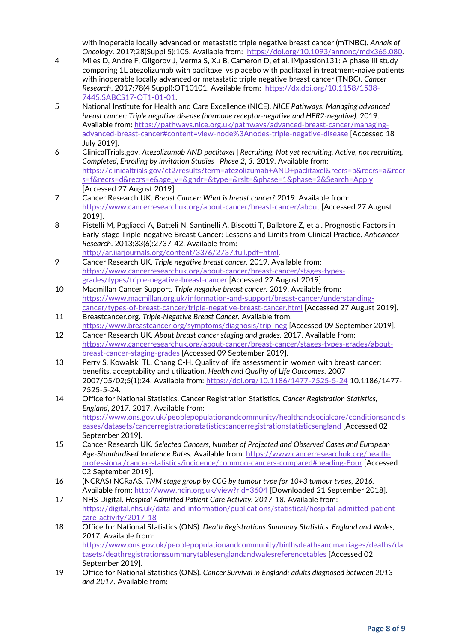with inoperable locally advanced or metastatic triple negative breast cancer (mTNBC). *Annals of Oncology*. 2017;28(Suppl 5):105. Available from: [https://doi.org/10.1093/annonc/mdx365.080.](https://doi.org/10.1093/annonc/mdx365.080)

- 4 Miles D, Andre F, Gligorov J, Verma S, Xu B, Cameron D, et al. IMpassion131: A phase III study comparing 1L atezolizumab with paclitaxel vs placebo with paclitaxel in treatment-naive patients with inoperable locally advanced or metastatic triple negative breast cancer (TNBC). *Cancer Research*. 2017;78(4 Suppl):OT10101. Available from: [https://dx.doi.org/10.1158/1538-](https://dx.doi.org/10.1158/1538-7445.SABCS17-OT1-01-01) [7445.SABCS17-OT1-01-01.](https://dx.doi.org/10.1158/1538-7445.SABCS17-OT1-01-01)
- 5 National Institute for Health and Care Excellence (NICE). *NICE Pathways: Managing advanced breast cancer: Triple negative disease (hormone receptor-negative and HER2-negative).* 2019. Available from: [https://pathways.nice.org.uk/pathways/advanced-breast-cancer/managing](https://pathways.nice.org.uk/pathways/advanced-breast-cancer/managing-advanced-breast-cancer#content=view-node%3Anodes-triple-negative-disease)[advanced-breast-cancer#content=view-node%3Anodes-triple-negative-disease](https://pathways.nice.org.uk/pathways/advanced-breast-cancer/managing-advanced-breast-cancer#content=view-node%3Anodes-triple-negative-disease) [Accessed 18 July 2019].
- 6 ClinicalTrials.gov. *Atezolizumab AND paclitaxel | Recruiting, Not yet recruiting, Active, not recruiting, Completed, Enrolling by invitation Studies | Phase 2, 3.* 2019. Available from: [https://clinicaltrials.gov/ct2/results?term=atezolizumab+AND+paclitaxel&recrs=b&recrs=a&recr](https://clinicaltrials.gov/ct2/results?term=atezolizumab+AND+paclitaxel&recrs=b&recrs=a&recrs=f&recrs=d&recrs=e&age_v=&gndr=&type=&rslt=&phase=1&phase=2&Search=Apply) [s=f&recrs=d&recrs=e&age\\_v=&gndr=&type=&rslt=&phase=1&phase=2&Search=Apply](https://clinicaltrials.gov/ct2/results?term=atezolizumab+AND+paclitaxel&recrs=b&recrs=a&recrs=f&recrs=d&recrs=e&age_v=&gndr=&type=&rslt=&phase=1&phase=2&Search=Apply) [Accessed 27 August 2019].
- 7 Cancer Research UK. *Breast Cancer: What is breast cancer?* 2019. Available from: <https://www.cancerresearchuk.org/about-cancer/breast-cancer/about> [Accessed 27 August 2019].
- 8 Pistelli M, Pagliacci A, Batteli N, Santinelli A, Biscotti T, Ballatore Z, et al. Prognostic Factors in Early-stage Triple-negative Breast Cancer: Lessons and Limits from Clinical Practice. *Anticancer Research*. 2013;33(6):2737-42. Available from: [http://ar.iiarjournals.org/content/33/6/2737.full.pdf+html.](http://ar.iiarjournals.org/content/33/6/2737.full.pdf+html)
- 9 Cancer Research UK. *Triple negative breast cancer.* 2019. Available from: [https://www.cancerresearchuk.org/about-cancer/breast-cancer/stages-types](https://www.cancerresearchuk.org/about-cancer/breast-cancer/stages-types-grades/types/triple-negative-breast-cancer)[grades/types/triple-negative-breast-cancer](https://www.cancerresearchuk.org/about-cancer/breast-cancer/stages-types-grades/types/triple-negative-breast-cancer) [Accessed 27 August 2019].
- 10 Macmillan Cancer Support. *Triple negative breast cancer.* 2019. Available from: [https://www.macmillan.org.uk/information-and-support/breast-cancer/understanding](https://www.macmillan.org.uk/information-and-support/breast-cancer/understanding-cancer/types-of-breast-cancer/triple-negative-breast-cancer.html)[cancer/types-of-breast-cancer/triple-negative-breast-cancer.html](https://www.macmillan.org.uk/information-and-support/breast-cancer/understanding-cancer/types-of-breast-cancer/triple-negative-breast-cancer.html) [Accessed 27 August 2019].
- 11 Breastcancer.org. *Triple-Negative Breast Cancer.* Available from: [https://www.breastcancer.org/symptoms/diagnosis/trip\\_neg](https://www.breastcancer.org/symptoms/diagnosis/trip_neg) [Accessed 09 September 2019].
- 12 Cancer Research UK. *About breast cancer staging and grades.* 2017. Available from: [https://www.cancerresearchuk.org/about-cancer/breast-cancer/stages-types-grades/about](https://www.cancerresearchuk.org/about-cancer/breast-cancer/stages-types-grades/about-breast-cancer-staging-grades)[breast-cancer-staging-grades](https://www.cancerresearchuk.org/about-cancer/breast-cancer/stages-types-grades/about-breast-cancer-staging-grades) [Accessed 09 September 2019].
- 13 Perry S, Kowalski TL, Chang C-H. Quality of life assessment in women with breast cancer: benefits, acceptability and utilization. *Health and Quality of Life Outcomes*. 2007 2007/05/02;5(1):24. Available from:<https://doi.org/10.1186/1477-7525-5-24> 10.1186/1477- 7525-5-24.
- 14 Office for National Statistics. Cancer Registration Statistics. *Cancer Registration Statistics, England, 2017.* 2017. Available from: [https://www.ons.gov.uk/peoplepopulationandcommunity/healthandsocialcare/conditionsanddis](https://www.ons.gov.uk/peoplepopulationandcommunity/healthandsocialcare/conditionsanddiseases/datasets/cancerregistrationstatisticscancerregistrationstatisticsengland) [eases/datasets/cancerregistrationstatisticscancerregistrationstatisticsengland](https://www.ons.gov.uk/peoplepopulationandcommunity/healthandsocialcare/conditionsanddiseases/datasets/cancerregistrationstatisticscancerregistrationstatisticsengland) [Accessed 02 September 2019].
- 15 Cancer Research UK. *Selected Cancers, Number of Projected and Observed Cases and European Age-Standardised Incidence Rates.* Available from: [https://www.cancerresearchuk.org/health](https://www.cancerresearchuk.org/health-professional/cancer-statistics/incidence/common-cancers-compared#heading-Four)[professional/cancer-statistics/incidence/common-cancers-compared#heading-Four](https://www.cancerresearchuk.org/health-professional/cancer-statistics/incidence/common-cancers-compared#heading-Four) [Accessed 02 September 2019].
- 16 (NCRAS) NCRaAS. *TNM stage group by CCG by tumour type for 10+3 tumour types, 2016*. Available from:<http://www.ncin.org.uk/view?rid=3604> [Downloaded 21 September 2018].
- 17 NHS Digital. *Hospital Admitted Patient Care Activity, 2017-18.* Available from: [https://digital.nhs.uk/data-and-information/publications/statistical/hospital-admitted-patient](https://digital.nhs.uk/data-and-information/publications/statistical/hospital-admitted-patient-care-activity/2017-18)[care-activity/2017-18](https://digital.nhs.uk/data-and-information/publications/statistical/hospital-admitted-patient-care-activity/2017-18)
- 18 Office for National Statistics (ONS). *Death Registrations Summary Statistics, England and Wales, 2017.* Available from: [https://www.ons.gov.uk/peoplepopulationandcommunity/birthsdeathsandmarriages/deaths/da](https://www.ons.gov.uk/peoplepopulationandcommunity/birthsdeathsandmarriages/deaths/datasets/deathregistrationssummarytablesenglandandwalesreferencetables) [tasets/deathregistrationssummarytablesenglandandwalesreferencetables](https://www.ons.gov.uk/peoplepopulationandcommunity/birthsdeathsandmarriages/deaths/datasets/deathregistrationssummarytablesenglandandwalesreferencetables) [Accessed 02 September 2019].
- 19 Office for National Statistics (ONS). *Cancer Survival in England: adults diagnosed between 2013 and 2017.* Available from: